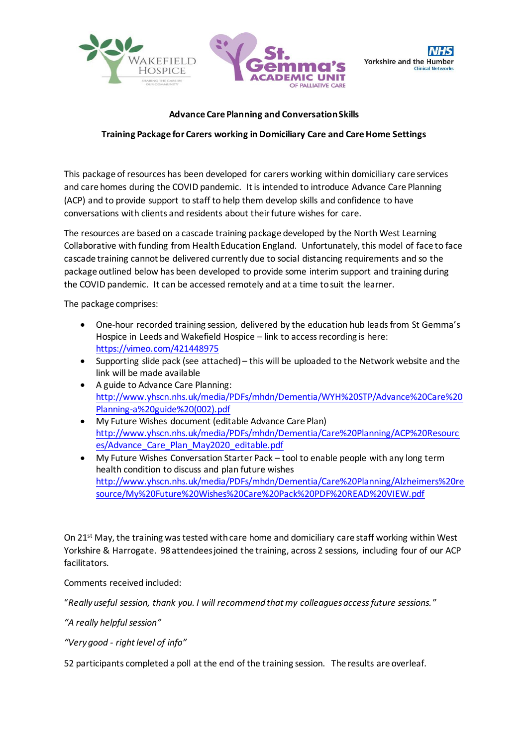





## **Advance Care Planning and Conversation Skills**

## **Training Package for Carers working in Domiciliary Care and Care Home Settings**

This package of resources has been developed for carers working within domiciliary care services and care homes during the COVID pandemic. It is intended to introduce Advance Care Planning (ACP) and to provide support to staff to help them develop skills and confidence to have conversations with clients and residents about their future wishes for care.

The resources are based on a cascade training package developed by the North West Learning Collaborative with funding from Health Education England. Unfortunately, this model of face to face cascade training cannot be delivered currently due to social distancing requirements and so the package outlined below has been developed to provide some interim support and training during the COVID pandemic. It can be accessed remotely and at a time to suit the learner.

The package comprises:

- One-hour recorded training session, delivered by the education hub leads from St Gemma's Hospice in Leeds and Wakefield Hospice – link to access recording is here: <https://vimeo.com/421448975>
- Supporting slide pack (see attached) this will be uploaded to the Network website and the link will be made available
- A guide to Advance Care Planning: [http://www.yhscn.nhs.uk/media/PDFs/mhdn/Dementia/WYH%20STP/Advance%20Care%20](http://www.yhscn.nhs.uk/media/PDFs/mhdn/Dementia/WYH%20STP/Advance%20Care%20Planning-a%20guide%20(002).pdf) [Planning-a%20guide%20\(002\).pdf](http://www.yhscn.nhs.uk/media/PDFs/mhdn/Dementia/WYH%20STP/Advance%20Care%20Planning-a%20guide%20(002).pdf)
- My Future Wishes document (editable Advance Care Plan) [http://www.yhscn.nhs.uk/media/PDFs/mhdn/Dementia/Care%20Planning/ACP%20Resourc](http://www.yhscn.nhs.uk/media/PDFs/mhdn/Dementia/Care%20Planning/ACP%20Resources/Advance_Care_Plan_May2020_editable.pdf) [es/Advance\\_Care\\_Plan\\_May2020\\_editable.pdf](http://www.yhscn.nhs.uk/media/PDFs/mhdn/Dementia/Care%20Planning/ACP%20Resources/Advance_Care_Plan_May2020_editable.pdf)
- My Future Wishes Conversation Starter Pack tool to enable people with any long term health condition to discuss and plan future wishes [http://www.yhscn.nhs.uk/media/PDFs/mhdn/Dementia/Care%20Planning/Alzheimers%20re](http://www.yhscn.nhs.uk/media/PDFs/mhdn/Dementia/Care%20Planning/Alzheimers%20resource/My%20Future%20Wishes%20Care%20Pack%20PDF%20READ%20VIEW.pdf) [source/My%20Future%20Wishes%20Care%20Pack%20PDF%20READ%20VIEW.pdf](http://www.yhscn.nhs.uk/media/PDFs/mhdn/Dementia/Care%20Planning/Alzheimers%20resource/My%20Future%20Wishes%20Care%20Pack%20PDF%20READ%20VIEW.pdf)

On 21<sup>st</sup> May, the training was tested with care home and domiciliary care staff working within West Yorkshire & Harrogate. 98 attendees joined the training, across 2 sessions, including four of our ACP facilitators.

Comments received included:

"*Really useful session, thank you. I will recommend that my colleagues access future sessions.* "

*"A really helpful session"*

*"Very good - right level of info"*

52 participants completed a poll at the end of the training session. The results are overleaf.